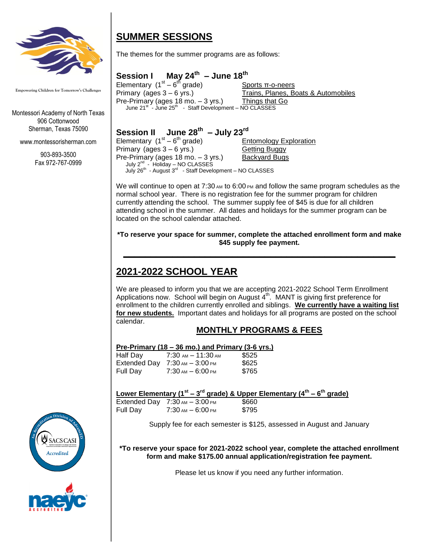

**Empowering Children for Tomorrow's Challenges**

Montessori Academy of North Texas 906 Cottonwood Sherman, Texas 75090

www.montessorisherman.com

903-893-3500 Fax 972-767-0999

## **SUMMER SESSIONS**

The themes for the summer programs are as follows:

#### **Session I th – June 18 th**

Elementary  $(1<sup>st</sup> - 6)$ Sports π-o-neers Primary (ages 3 – 6 yrs.) Trains, Planes, Boats & Automobiles Pre-Primary (ages 18 mo. – 3 yrs.) Things that Go June 21<sup>st</sup> - June 25<sup>th</sup> - Staff Development - NO CLASSES

#### **Session II th – July 23 rd**

Elementary  $(1<sup>st</sup> - 6)$ **Entomology Exploration** Primary (ages 3 – 6 yrs.) Getting Buggy Pre-Primary (ages 18 mo. - 3 yrs.) Backyard Bugs July 2<sup>nd</sup> - Holiday - NO CLASSES July 26<sup>th</sup> - August 3<sup>rd</sup> - Staff Development - NO CLASSES

We will continue to open at  $7:30$  AM to  $6:00$  PM and follow the same program schedules as the normal school year. There is no registration fee for the summer program for children currently attending the school. The summer supply fee of \$45 is due for all children attending school in the summer. All dates and holidays for the summer program can be located on the school calendar attached.

#### **\*To reserve your space for summer, complete the attached enrollment form and make \$45 supply fee payment.**

**\_\_\_\_\_\_\_\_\_\_\_\_\_\_\_\_\_\_\_\_\_\_\_\_\_\_\_\_\_\_\_\_\_\_\_\_\_\_\_\_\_\_\_\_\_\_\_\_\_\_**

# **2021-2022 SCHOOL YEAR**

We are pleased to inform you that we are accepting 2021-2022 School Term Enrollment Applications now. School will begin on August 4<sup>th</sup>. MANT is giving first preference for enrollment to the children currently enrolled and siblings. **We currently have a waiting list for new students.** Important dates and holidays for all programs are posted on the school calendar.

## **MONTHLY PROGRAMS & FEES**

### **Pre-Primary (18 – 36 mo.) and Primary (3-6 yrs.)**

| Half Day     | $7:30\,$ AM $-11:30\,$ AM | \$525 |
|--------------|---------------------------|-------|
| Extended Dav | $7:30$ ам $-3:00$ рм      | \$625 |
| Full Dav     | $7:30$ AM $-6:00$ PM      | \$765 |

**Lower Elementary (1st – 3 rd grade) & Upper Elementary (4th – 6 th grade)**

|          | Extended Day $7:30 \text{ AM} - 3:00 \text{ PM}$ | \$660 |
|----------|--------------------------------------------------|-------|
| Full Day | $7:30$ am $-6:00$ pm                             | \$795 |

Supply fee for each semester is \$125, assessed in August and January

**\*To reserve your space for 2021-2022 school year, complete the attached enrollment form and make \$175.00 annual application/registration fee payment.**

Please let us know if you need any further information.



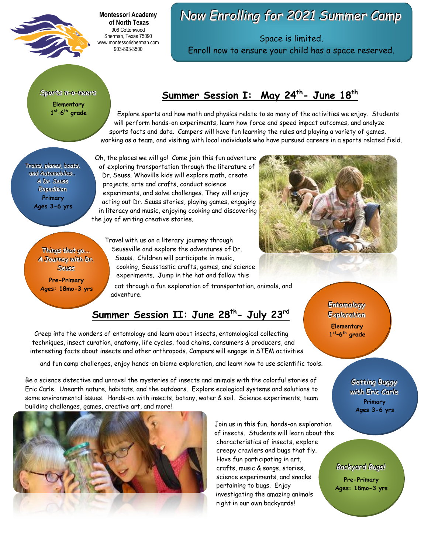

**Montessori Academy of North Texas** 906 Cottonwood Sherman, Texas 75090 www.montessorisherman.com 903-893-3500

# *Now Enrolling for 2021 Summer Camp*

Space is limited. Enroll now to ensure your child has a space reserved.

*Sports π-o-neers* **Elementary 1 st –6 th grade**

## **Summer Session I: May 24 th - June 18th**

Explore sports and how math and physics relate to so many of the activities we enjoy. Students will perform hands-on experiments, learn how force and speed impact outcomes, and analyze sports facts and data. Campers will have fun learning the rules and playing a variety of games, working as a team, and visiting with local individuals who have pursued careers in a sports related field.

*Trains, planes, boats, and Automobiles...* A Dr. *Seuss*  $Expedition$ **Primary Ages 3-6 yrs**

Oh, the places we will go! Come join this fun adventure of exploring transportation through the literature of Dr. Seuss. Whoville kids will explore math, create projects, arts and crafts, conduct science experiments, and solve challenges. They will enjoy acting out Dr. Seuss stories, playing games, engaging in literacy and music, enjoying cooking and discovering the joy of writing creative stories.

*Things that go...* A Journey with Dr. **Seuss** 

**Pre-Primary Ages: 18mo-3 yrs** Travel with us on a literary journey through Seussville and explore the adventures of Dr. Seuss. Children will participate in music, cooking, Seusstastic crafts, games, and science experiments. Jump in the hat and follow this

cat through a fun exploration of transportation, animals, and adventure.

## **Summer Session II: June 28th - July 23rd**

Creep into the wonders of entomology and learn about insects, entomological collecting techniques, insect curation, anatomy, life cycles, food chains, consumers & producers, and interesting facts about insects and other arthropods. Campers will engage in STEM activities

and fun camp challenges, enjoy hands-on biome exploration, and learn how to use scientific tools.

Be a science detective and unravel the mysteries of insects and animals with the colorful stories of Eric Carle. Unearth nature, habitats, and the outdoors. Explore ecological systems and solutions to some environmental issues. Hands-on with insects, botany, water & soil. Science experiments, team building challenges, games, creative art, and more!



Join us in this fun, hands-on exploration of insects. Students will learn about the characteristics of insects, explore creepy crawlers and bugs that fly. Have fun participating in art, crafts, music & songs, stories, science experiments, and snacks pertaining to bugs. Enjoy investigating the amazing animals right in our own backyards!



Entomology  $Exploration$ 

**Elementary 1 st –6 th grade**

> *Getting Buggy with Eric Carle* **Primary Ages 3-6 yrs**

**Backyard Bugs!** 

**Pre-Primary Ages: 18mo-3 yrs**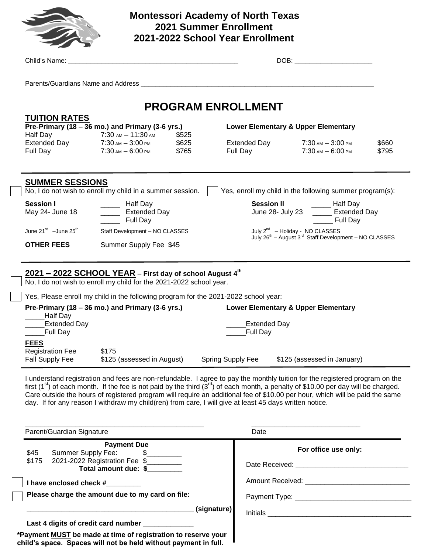

## **Montessori Academy of North Texas 2021 Summer Enrollment 2021-2022 School Year Enrollment**

|                                                           |                     | Child's Name: The Child's Name:                                                                                                                                                                                                                                                                                                                                                                                                                                                                                                 |                           |                   |                                                                |  | DOB: the contract of the contract of the contract of the contract of the contract of the contract of the contract of the contract of the contract of the contract of the contract of the contract of the contract of the contr |                                                                                                                              |
|-----------------------------------------------------------|---------------------|---------------------------------------------------------------------------------------------------------------------------------------------------------------------------------------------------------------------------------------------------------------------------------------------------------------------------------------------------------------------------------------------------------------------------------------------------------------------------------------------------------------------------------|---------------------------|-------------------|----------------------------------------------------------------|--|--------------------------------------------------------------------------------------------------------------------------------------------------------------------------------------------------------------------------------|------------------------------------------------------------------------------------------------------------------------------|
|                                                           |                     |                                                                                                                                                                                                                                                                                                                                                                                                                                                                                                                                 |                           |                   |                                                                |  |                                                                                                                                                                                                                                |                                                                                                                              |
|                                                           |                     |                                                                                                                                                                                                                                                                                                                                                                                                                                                                                                                                 | <b>PROGRAM ENROLLMENT</b> |                   |                                                                |  |                                                                                                                                                                                                                                |                                                                                                                              |
| <b>TUITION RATES</b>                                      |                     | Pre-Primary (18 – 36 mo.) and Primary (3-6 yrs.)<br>Half Day 7:30 AM - 11:30 AM<br>Extended Day 7:30 AM - 3:00 PM                                                                                                                                                                                                                                                                                                                                                                                                               | \$525<br>\$625            |                   | <b>Lower Elementary &amp; Upper Elementary</b><br>Extended Day |  | $7:30$ AM $-3:00$ PM                                                                                                                                                                                                           | \$660                                                                                                                        |
| Full Day                                                  |                     | $7:30$ am $-6:00$ pm                                                                                                                                                                                                                                                                                                                                                                                                                                                                                                            | \$765                     |                   | Full Day                                                       |  | $7:30$ am $-6:00$ pm                                                                                                                                                                                                           | \$795                                                                                                                        |
| <b>SUMMER SESSIONS</b>                                    |                     | No, I do not wish to enroll my child in a summer session.                                                                                                                                                                                                                                                                                                                                                                                                                                                                       |                           |                   | Yes, enroll my child in the following summer program(s):       |  |                                                                                                                                                                                                                                |                                                                                                                              |
| <b>Session I</b><br>May 24- June 18                       |                     | _______ Half Day<br>Extended Day<br><b>Full Day</b>                                                                                                                                                                                                                                                                                                                                                                                                                                                                             |                           |                   | <b>Session II</b>                                              |  | _______ Half Day<br>June 28- July 23 _____ Extended Day<br>______ Full Day                                                                                                                                                     |                                                                                                                              |
| June $21^{st}$ -June $25^{th}$<br><b>OTHER FEES</b>       |                     | Staff Development - NO CLASSES<br>Summer Supply Fee \$45                                                                                                                                                                                                                                                                                                                                                                                                                                                                        |                           |                   |                                                                |  |                                                                                                                                                                                                                                | July 2 <sup>nd</sup> - Holiday - NO CLASSES<br>July 26 <sup>th</sup> - August 3 <sup>rd</sup> Staff Development - NO CLASSES |
|                                                           |                     | 2021 - 2022 SCHOOL YEAR - First day of school August 4th                                                                                                                                                                                                                                                                                                                                                                                                                                                                        |                           |                   |                                                                |  |                                                                                                                                                                                                                                |                                                                                                                              |
|                                                           |                     | No, I do not wish to enroll my child for the 2021-2022 school year.<br>Yes, Please enroll my child in the following program for the 2021-2022 school year:                                                                                                                                                                                                                                                                                                                                                                      |                           |                   |                                                                |  |                                                                                                                                                                                                                                |                                                                                                                              |
|                                                           |                     | Pre-Primary (18 – 36 mo.) and Primary (3-6 yrs.)                                                                                                                                                                                                                                                                                                                                                                                                                                                                                |                           |                   | <b>Lower Elementary &amp; Upper Elementary</b>                 |  |                                                                                                                                                                                                                                |                                                                                                                              |
| Half Day<br>Full Day_                                     | <b>Extended Day</b> |                                                                                                                                                                                                                                                                                                                                                                                                                                                                                                                                 |                           |                   | <b>Extended Day</b><br><b>Full Day</b>                         |  |                                                                                                                                                                                                                                |                                                                                                                              |
| <b>FEES</b><br><b>Registration Fee</b><br>Fall Supply Fee |                     | \$175<br>\$125 (assessed in August)                                                                                                                                                                                                                                                                                                                                                                                                                                                                                             |                           | Spring Supply Fee |                                                                |  | \$125 (assessed in January)                                                                                                                                                                                                    |                                                                                                                              |
|                                                           |                     | I understand registration and fees are non-refundable. I agree to pay the monthly tuition for the registered program on the<br>first (1 <sup>st</sup> ) of each month. If the fee is not paid by the third ( $3^{rd}$ ) of each month, a penalty of \$10.00 per day will be charged.<br>Care outside the hours of registered program will require an additional fee of \$10.00 per hour, which will be paid the same<br>day. If for any reason I withdraw my child(ren) from care, I will give at least 45 days written notice. |                           |                   |                                                                |  |                                                                                                                                                                                                                                |                                                                                                                              |
| Parent/Guardian Signature                                 |                     |                                                                                                                                                                                                                                                                                                                                                                                                                                                                                                                                 |                           |                   | Date                                                           |  |                                                                                                                                                                                                                                |                                                                                                                              |
| \$45                                                      | Summer Supply Fee:  | <b>Payment Due</b>                                                                                                                                                                                                                                                                                                                                                                                                                                                                                                              |                           |                   |                                                                |  | For office use only:                                                                                                                                                                                                           |                                                                                                                              |
| \$175                                                     |                     | 2021-2022 Registration Fee \$<br>Total amount due: \$                                                                                                                                                                                                                                                                                                                                                                                                                                                                           |                           |                   |                                                                |  |                                                                                                                                                                                                                                |                                                                                                                              |
|                                                           |                     | I have enclosed check #________                                                                                                                                                                                                                                                                                                                                                                                                                                                                                                 |                           |                   |                                                                |  |                                                                                                                                                                                                                                |                                                                                                                              |

 **Please charge the amount due to my card on file:**

 **\_\_\_\_\_\_\_\_\_\_\_\_\_\_\_\_\_\_\_\_\_\_\_\_\_\_\_\_\_\_\_\_\_\_\_\_\_\_\_\_\_\_\_ (signature)**

Last 4 digits of credit card number

**\*Payment MUST be made at time of registration to reserve your child's space. Spaces will not be held without payment in full.**

Initials  $\qquad \qquad$ 

Payment Type: \_\_\_\_\_\_\_\_\_\_\_\_\_\_\_\_\_\_\_\_\_\_\_\_\_\_\_\_\_\_